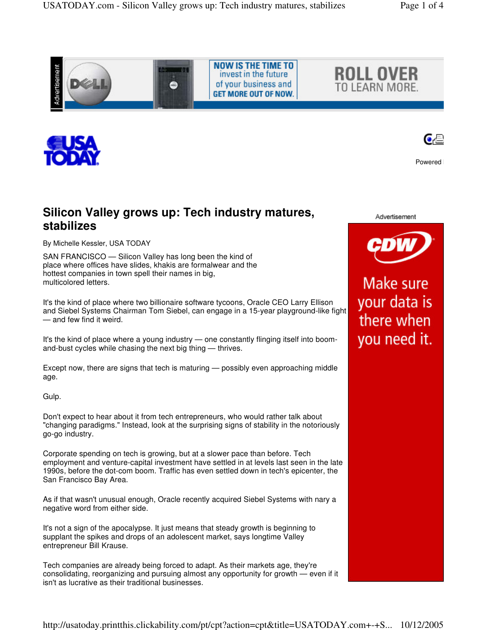

۰

**NOW IS THE TIME TO** invest in the future of your business and **GET MORE OUT OF NOW.** 



**ROLL OVER** TO LEARN MORE.



Powered

## **Silicon Valley grows up: Tech industry matures, stabilizes**

By Michelle Kessler, USA TODAY

SAN FRANCISCO — Silicon Valley has long been the kind of place where offices have slides, khakis are formalwear and the hottest companies in town spell their names in big, multicolored letters.

It's the kind of place where two billionaire software tycoons, Oracle CEO Larry Ellison and Siebel Systems Chairman Tom Siebel, can engage in a 15-year playground-like fight — and few find it weird.

It's the kind of place where a young industry — one constantly flinging itself into boomand-bust cycles while chasing the next big thing — thrives.

Except now, there are signs that tech is maturing — possibly even approaching middle age.

Gulp.

Don't expect to hear about it from tech entrepreneurs, who would rather talk about "changing paradigms." Instead, look at the surprising signs of stability in the notoriously go-go industry.

Corporate spending on tech is growing, but at a slower pace than before. Tech employment and venture-capital investment have settled in at levels last seen in the late 1990s, before the dot-com boom. Traffic has even settled down in tech's epicenter, the San Francisco Bay Area.

As if that wasn't unusual enough, Oracle recently acquired Siebel Systems with nary a negative word from either side.

It's not a sign of the apocalypse. It just means that steady growth is beginning to supplant the spikes and drops of an adolescent market, says longtime Valley entrepreneur Bill Krause.

Tech companies are already being forced to adapt. As their markets age, they're consolidating, reorganizing and pursuing almost any opportunity for growth — even if it isn't as lucrative as their traditional businesses.

Advertisement



Make sure your data is there when you need it.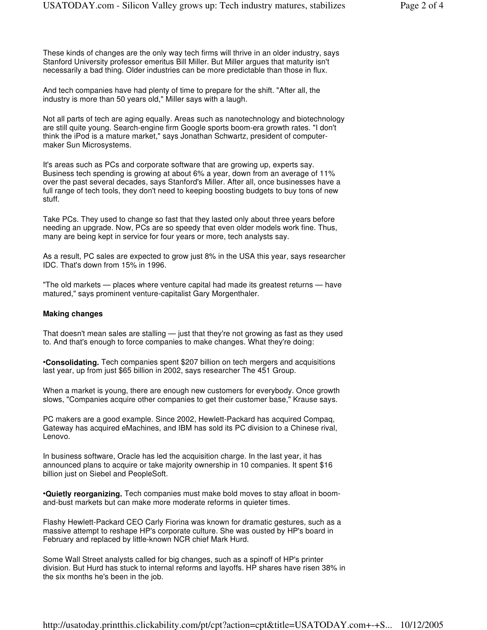These kinds of changes are the only way tech firms will thrive in an older industry, says Stanford University professor emeritus Bill Miller. But Miller argues that maturity isn't necessarily a bad thing. Older industries can be more predictable than those in flux.

And tech companies have had plenty of time to prepare for the shift. "After all, the industry is more than 50 years old," Miller says with a laugh.

Not all parts of tech are aging equally. Areas such as nanotechnology and biotechnology are still quite young. Search-engine firm Google sports boom-era growth rates. "I don't think the iPod is a mature market," says Jonathan Schwartz, president of computermaker Sun Microsystems.

It's areas such as PCs and corporate software that are growing up, experts say. Business tech spending is growing at about 6% a year, down from an average of 11% over the past several decades, says Stanford's Miller. After all, once businesses have a full range of tech tools, they don't need to keeping boosting budgets to buy tons of new stuff.

Take PCs. They used to change so fast that they lasted only about three years before needing an upgrade. Now, PCs are so speedy that even older models work fine. Thus, many are being kept in service for four years or more, tech analysts say.

As a result, PC sales are expected to grow just 8% in the USA this year, says researcher IDC. That's down from 15% in 1996.

"The old markets — places where venture capital had made its greatest returns — have matured," says prominent venture-capitalist Gary Morgenthaler.

## **Making changes**

That doesn't mean sales are stalling — just that they're not growing as fast as they used to. And that's enough to force companies to make changes. What they're doing:

•**Consolidating.** Tech companies spent \$207 billion on tech mergers and acquisitions last year, up from just \$65 billion in 2002, says researcher The 451 Group.

When a market is young, there are enough new customers for everybody. Once growth slows, "Companies acquire other companies to get their customer base," Krause says.

PC makers are a good example. Since 2002, Hewlett-Packard has acquired Compaq, Gateway has acquired eMachines, and IBM has sold its PC division to a Chinese rival, Lenovo.

In business software, Oracle has led the acquisition charge. In the last year, it has announced plans to acquire or take majority ownership in 10 companies. It spent \$16 billion just on Siebel and PeopleSoft.

•**Quietly reorganizing.** Tech companies must make bold moves to stay afloat in boomand-bust markets but can make more moderate reforms in quieter times.

Flashy Hewlett-Packard CEO Carly Fiorina was known for dramatic gestures, such as a massive attempt to reshape HP's corporate culture. She was ousted by HP's board in February and replaced by little-known NCR chief Mark Hurd.

Some Wall Street analysts called for big changes, such as a spinoff of HP's printer division. But Hurd has stuck to internal reforms and layoffs. HP shares have risen 38% in the six months he's been in the job.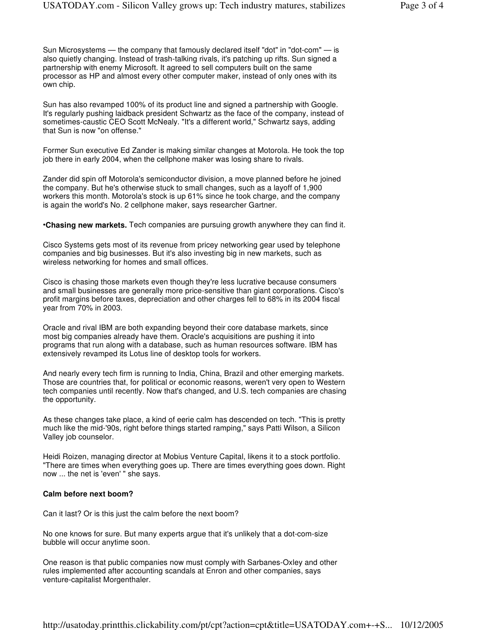Sun Microsystems — the company that famously declared itself "dot" in "dot-com" — is also quietly changing. Instead of trash-talking rivals, it's patching up rifts. Sun signed a partnership with enemy Microsoft. It agreed to sell computers built on the same processor as HP and almost every other computer maker, instead of only ones with its own chip.

Sun has also revamped 100% of its product line and signed a partnership with Google. It's regularly pushing laidback president Schwartz as the face of the company, instead of sometimes-caustic CEO Scott McNealy. "It's a different world," Schwartz says, adding that Sun is now "on offense."

Former Sun executive Ed Zander is making similar changes at Motorola. He took the top job there in early 2004, when the cellphone maker was losing share to rivals.

Zander did spin off Motorola's semiconductor division, a move planned before he joined the company. But he's otherwise stuck to small changes, such as a layoff of 1,900 workers this month. Motorola's stock is up 61% since he took charge, and the company is again the world's No. 2 cellphone maker, says researcher Gartner.

•**Chasing new markets.** Tech companies are pursuing growth anywhere they can find it.

Cisco Systems gets most of its revenue from pricey networking gear used by telephone companies and big businesses. But it's also investing big in new markets, such as wireless networking for homes and small offices.

Cisco is chasing those markets even though they're less lucrative because consumers and small businesses are generally more price-sensitive than giant corporations. Cisco's profit margins before taxes, depreciation and other charges fell to 68% in its 2004 fiscal year from 70% in 2003.

Oracle and rival IBM are both expanding beyond their core database markets, since most big companies already have them. Oracle's acquisitions are pushing it into programs that run along with a database, such as human resources software. IBM has extensively revamped its Lotus line of desktop tools for workers.

And nearly every tech firm is running to India, China, Brazil and other emerging markets. Those are countries that, for political or economic reasons, weren't very open to Western tech companies until recently. Now that's changed, and U.S. tech companies are chasing the opportunity.

As these changes take place, a kind of eerie calm has descended on tech. "This is pretty much like the mid-'90s, right before things started ramping," says Patti Wilson, a Silicon Valley job counselor.

Heidi Roizen, managing director at Mobius Venture Capital, likens it to a stock portfolio. "There are times when everything goes up. There are times everything goes down. Right now ... the net is 'even' " she says.

## **Calm before next boom?**

Can it last? Or is this just the calm before the next boom?

No one knows for sure. But many experts argue that it's unlikely that a dot-com-size bubble will occur anytime soon.

One reason is that public companies now must comply with Sarbanes-Oxley and other rules implemented after accounting scandals at Enron and other companies, says venture-capitalist Morgenthaler.